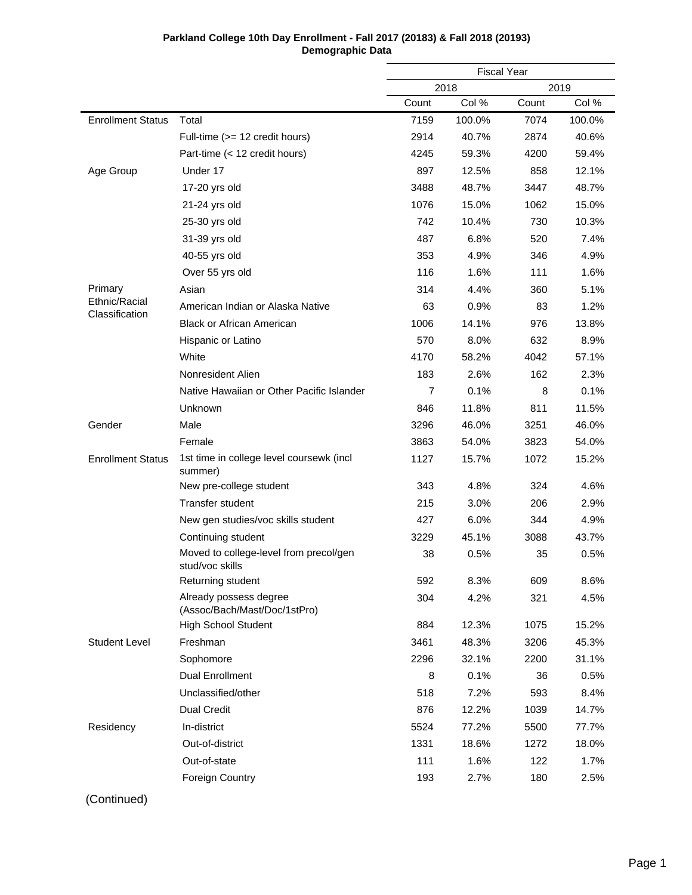|                                 |                                                           | <b>Fiscal Year</b> |        |       |        |
|---------------------------------|-----------------------------------------------------------|--------------------|--------|-------|--------|
|                                 |                                                           |                    | 2018   |       | 2019   |
|                                 |                                                           | Count              | Col %  | Count | Col %  |
| <b>Enrollment Status</b>        | Total                                                     | 7159               | 100.0% | 7074  | 100.0% |
|                                 | Full-time (>= 12 credit hours)                            | 2914               | 40.7%  | 2874  | 40.6%  |
|                                 | Part-time (< 12 credit hours)                             | 4245               | 59.3%  | 4200  | 59.4%  |
| Age Group                       | Under 17                                                  | 897                | 12.5%  | 858   | 12.1%  |
|                                 | 17-20 yrs old                                             | 3488               | 48.7%  | 3447  | 48.7%  |
|                                 | 21-24 yrs old                                             | 1076               | 15.0%  | 1062  | 15.0%  |
|                                 | 25-30 yrs old                                             | 742                | 10.4%  | 730   | 10.3%  |
|                                 | 31-39 yrs old                                             | 487                | 6.8%   | 520   | 7.4%   |
|                                 | 40-55 yrs old                                             | 353                | 4.9%   | 346   | 4.9%   |
|                                 | Over 55 yrs old                                           | 116                | 1.6%   | 111   | 1.6%   |
| Primary                         | Asian                                                     | 314                | 4.4%   | 360   | 5.1%   |
| Ethnic/Racial<br>Classification | American Indian or Alaska Native                          | 63                 | 0.9%   | 83    | 1.2%   |
|                                 | <b>Black or African American</b>                          | 1006               | 14.1%  | 976   | 13.8%  |
|                                 | Hispanic or Latino                                        | 570                | 8.0%   | 632   | 8.9%   |
|                                 | White                                                     | 4170               | 58.2%  | 4042  | 57.1%  |
|                                 | Nonresident Alien                                         | 183                | 2.6%   | 162   | 2.3%   |
|                                 | Native Hawaiian or Other Pacific Islander                 | $\overline{7}$     | 0.1%   | 8     | 0.1%   |
|                                 | Unknown                                                   | 846                | 11.8%  | 811   | 11.5%  |
| Gender                          | Male                                                      | 3296               | 46.0%  | 3251  | 46.0%  |
|                                 | Female                                                    | 3863               | 54.0%  | 3823  | 54.0%  |
| <b>Enrollment Status</b>        | 1st time in college level coursewk (incl<br>summer)       | 1127               | 15.7%  | 1072  | 15.2%  |
|                                 | New pre-college student                                   | 343                | 4.8%   | 324   | 4.6%   |
|                                 | <b>Transfer student</b>                                   | 215                | 3.0%   | 206   | 2.9%   |
|                                 | New gen studies/voc skills student                        | 427                | 6.0%   | 344   | 4.9%   |
|                                 | Continuing student                                        | 3229               | 45.1%  | 3088  | 43.7%  |
|                                 | Moved to college-level from precol/gen<br>stud/voc skills | 38                 | 0.5%   | 35    | 0.5%   |
|                                 | Returning student                                         | 592                | 8.3%   | 609   | 8.6%   |
|                                 | Already possess degree<br>(Assoc/Bach/Mast/Doc/1stPro)    | 304                | 4.2%   | 321   | 4.5%   |
|                                 | <b>High School Student</b>                                | 884                | 12.3%  | 1075  | 15.2%  |
| <b>Student Level</b>            | Freshman                                                  | 3461               | 48.3%  | 3206  | 45.3%  |
|                                 | Sophomore                                                 | 2296               | 32.1%  | 2200  | 31.1%  |
|                                 | <b>Dual Enrollment</b>                                    | 8                  | 0.1%   | 36    | 0.5%   |
|                                 | Unclassified/other                                        | 518                | 7.2%   | 593   | 8.4%   |
|                                 | <b>Dual Credit</b>                                        | 876                | 12.2%  | 1039  | 14.7%  |
| Residency                       | In-district                                               | 5524               | 77.2%  | 5500  | 77.7%  |
|                                 | Out-of-district                                           | 1331               | 18.6%  | 1272  | 18.0%  |
|                                 | Out-of-state                                              | 111                | 1.6%   | 122   | 1.7%   |
|                                 | <b>Foreign Country</b>                                    | 193                | 2.7%   | 180   | 2.5%   |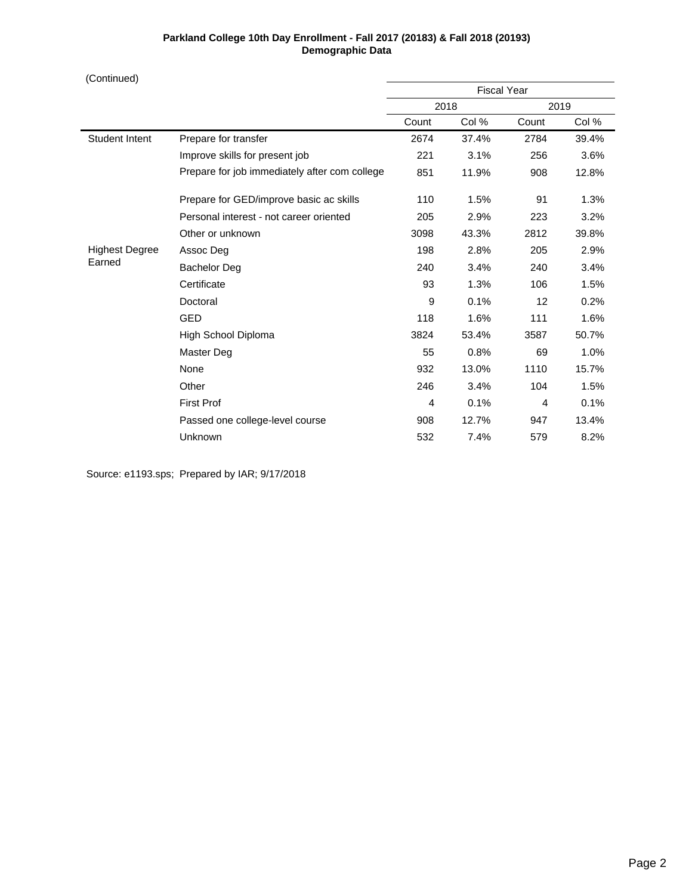(Continued)

|                       |                                               | <b>Fiscal Year</b> |       |       |       |
|-----------------------|-----------------------------------------------|--------------------|-------|-------|-------|
|                       |                                               |                    | 2018  |       | 2019  |
|                       |                                               | Count              | Col % | Count | Col % |
| <b>Student Intent</b> | Prepare for transfer                          | 2674               | 37.4% | 2784  | 39.4% |
|                       | Improve skills for present job                | 221                | 3.1%  | 256   | 3.6%  |
|                       | Prepare for job immediately after com college | 851                | 11.9% | 908   | 12.8% |
|                       | Prepare for GED/improve basic ac skills       | 110                | 1.5%  | 91    | 1.3%  |
|                       | Personal interest - not career oriented       | 205                | 2.9%  | 223   | 3.2%  |
|                       | Other or unknown                              | 3098               | 43.3% | 2812  | 39.8% |
| <b>Highest Degree</b> | Assoc Deg                                     | 198                | 2.8%  | 205   | 2.9%  |
| Earned                | <b>Bachelor Deg</b>                           | 240                | 3.4%  | 240   | 3.4%  |
|                       | Certificate                                   | 93                 | 1.3%  | 106   | 1.5%  |
|                       | Doctoral                                      | 9                  | 0.1%  | 12    | 0.2%  |
|                       | <b>GED</b>                                    | 118                | 1.6%  | 111   | 1.6%  |
|                       | High School Diploma                           | 3824               | 53.4% | 3587  | 50.7% |
|                       | Master Deg                                    | 55                 | 0.8%  | 69    | 1.0%  |
|                       | None                                          | 932                | 13.0% | 1110  | 15.7% |
|                       | Other                                         | 246                | 3.4%  | 104   | 1.5%  |
|                       | <b>First Prof</b>                             | 4                  | 0.1%  | 4     | 0.1%  |
|                       | Passed one college-level course               | 908                | 12.7% | 947   | 13.4% |
|                       | Unknown                                       | 532                | 7.4%  | 579   | 8.2%  |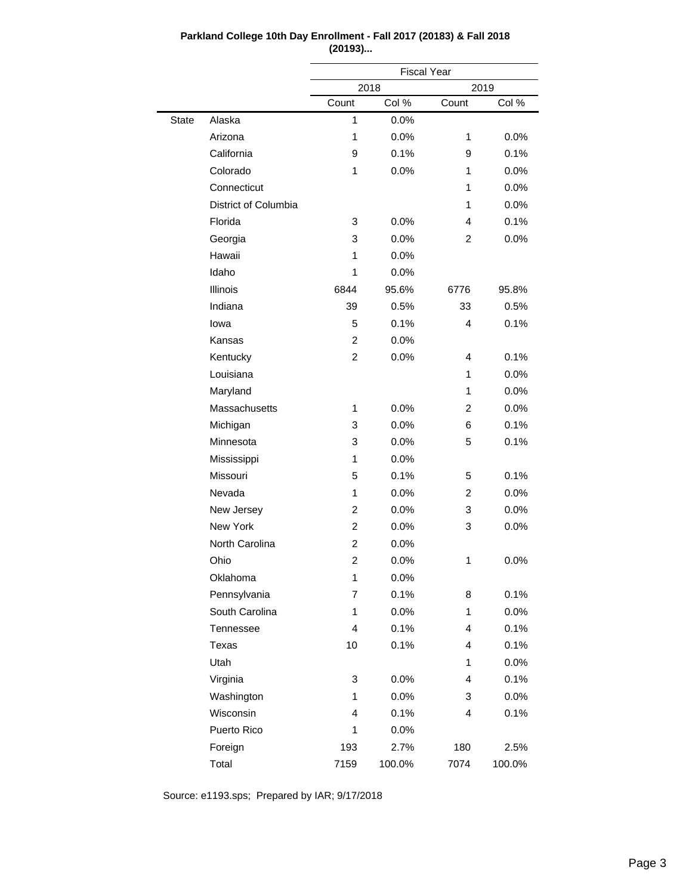|              |                      | <b>Fiscal Year</b> |       |                |       |  |
|--------------|----------------------|--------------------|-------|----------------|-------|--|
|              |                      | 2018               |       | 2019           |       |  |
|              |                      | Count              | Col % | Count          | Col % |  |
| <b>State</b> | Alaska               | 1                  | 0.0%  |                |       |  |
|              | Arizona              | 1                  | 0.0%  | 1              | 0.0%  |  |
|              | California           | 9                  | 0.1%  | 9              | 0.1%  |  |
|              | Colorado             | 1                  | 0.0%  | 1              | 0.0%  |  |
|              | Connecticut          |                    |       | 1              | 0.0%  |  |
|              | District of Columbia |                    |       | 1              | 0.0%  |  |
|              | Florida              | 3                  | 0.0%  | 4              | 0.1%  |  |
|              | Georgia              | 3                  | 0.0%  | $\overline{c}$ | 0.0%  |  |
|              | Hawaii               | 1                  | 0.0%  |                |       |  |
|              | Idaho                | 1                  | 0.0%  |                |       |  |
|              | Illinois             | 6844               | 95.6% | 6776           | 95.8% |  |
|              | Indiana              | 39                 | 0.5%  | 33             | 0.5%  |  |
|              | lowa                 | 5                  | 0.1%  | 4              | 0.1%  |  |
|              | Kansas               | 2                  | 0.0%  |                |       |  |
|              | Kentucky             | 2                  | 0.0%  | 4              | 0.1%  |  |
|              | Louisiana            |                    |       | 1              | 0.0%  |  |
|              | Maryland             |                    |       | 1              | 0.0%  |  |
|              | Massachusetts        | 1                  | 0.0%  | 2              | 0.0%  |  |
|              | Michigan             | 3                  | 0.0%  | 6              | 0.1%  |  |
|              | Minnesota            | 3                  | 0.0%  | 5              | 0.1%  |  |
|              | Mississippi          | 1                  | 0.0%  |                |       |  |
|              | Missouri             | 5                  | 0.1%  | 5              | 0.1%  |  |
|              | Nevada               | 1                  | 0.0%  | $\overline{c}$ | 0.0%  |  |
|              | New Jersey           | 2                  | 0.0%  | 3              | 0.0%  |  |
|              | New York             | 2                  | 0.0%  | 3              | 0.0%  |  |
|              | North Carolina       | $\overline{c}$     | 0.0%  |                |       |  |
|              | Ohio                 | 2                  | 0.0%  | 1              | 0.0%  |  |
|              | Oklahoma             | 1                  | 0.0%  |                |       |  |
|              | Pennsylvania         | 7                  | 0.1%  | 8              | 0.1%  |  |
|              | South Carolina       | 1                  | 0.0%  | 1              | 0.0%  |  |
|              | Tennessee            | 4                  | 0.1%  | 4              | 0.1%  |  |
|              | Texas                | 10                 | 0.1%  | 4              | 0.1%  |  |
|              | Utah                 |                    |       | 1              | 0.0%  |  |
|              | Virginia             | 3                  | 0.0%  | 4              | 0.1%  |  |
|              | Washington           | 1                  | 0.0%  | 3              | 0.0%  |  |
|              | Wisconsin            | 4                  | 0.1%  | 4              | 0.1%  |  |

1 0.0%

193 2.7% 180 2.5% 7159 100.0% 7074 100.0%

# **Parkland College 10th Day Enrollment - Fall 2017 (20183) & Fall 2018 (20193)...**

Source: e1193.sps; Prepared by IAR; 9/17/2018

Puerto Rico Foreign Total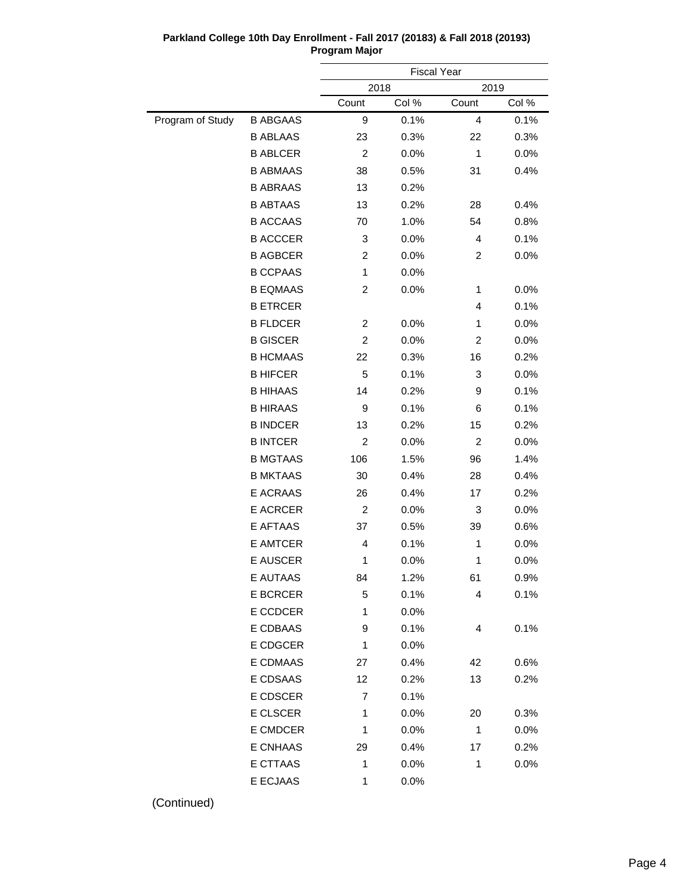|                  |                 |                | <b>Fiscal Year</b> |                |       |
|------------------|-----------------|----------------|--------------------|----------------|-------|
|                  |                 | 2018           |                    | 2019           |       |
|                  |                 | Count          | Col %              | Count          | Col % |
| Program of Study | <b>B ABGAAS</b> | 9              | 0.1%               | 4              | 0.1%  |
|                  | <b>B ABLAAS</b> | 23             | 0.3%               | 22             | 0.3%  |
|                  | <b>B ABLCER</b> | $\overline{c}$ | 0.0%               | 1              | 0.0%  |
|                  | <b>B ABMAAS</b> | 38             | 0.5%               | 31             | 0.4%  |
|                  | <b>B ABRAAS</b> | 13             | 0.2%               |                |       |
|                  | <b>B ABTAAS</b> | 13             | 0.2%               | 28             | 0.4%  |
|                  | <b>B ACCAAS</b> | 70             | 1.0%               | 54             | 0.8%  |
|                  | <b>B ACCCER</b> | 3              | 0.0%               | 4              | 0.1%  |
|                  | <b>B AGBCER</b> | 2              | 0.0%               | 2              | 0.0%  |
|                  | <b>B CCPAAS</b> | $\mathbf{1}$   | 0.0%               |                |       |
|                  | <b>B EQMAAS</b> | 2              | 0.0%               | 1              | 0.0%  |
|                  | <b>B ETRCER</b> |                |                    | 4              | 0.1%  |
|                  | <b>B FLDCER</b> | 2              | 0.0%               | 1              | 0.0%  |
|                  | <b>B GISCER</b> | $\overline{c}$ | 0.0%               | 2              | 0.0%  |
|                  | <b>B HCMAAS</b> | 22             | 0.3%               | 16             | 0.2%  |
|                  | <b>B HIFCER</b> | 5              | 0.1%               | 3              | 0.0%  |
|                  | <b>B HIHAAS</b> | 14             | 0.2%               | 9              | 0.1%  |
|                  | <b>B HIRAAS</b> | 9              | 0.1%               | 6              | 0.1%  |
|                  | <b>B INDCER</b> | 13             | 0.2%               | 15             | 0.2%  |
|                  | <b>B INTCER</b> | $\overline{c}$ | 0.0%               | $\overline{c}$ | 0.0%  |
|                  | <b>B MGTAAS</b> | 106            | 1.5%               | 96             | 1.4%  |
|                  | <b>B MKTAAS</b> | 30             | 0.4%               | 28             | 0.4%  |
|                  | E ACRAAS        | 26             | 0.4%               | 17             | 0.2%  |
|                  | <b>E ACRCER</b> | 2              | 0.0%               | 3              | 0.0%  |
|                  | E AFTAAS        | 37             | 0.5%               | 39             | 0.6%  |
|                  | <b>E AMTCER</b> | 4              | 0.1%               | 1              | 0.0%  |
|                  | <b>E AUSCER</b> | 1              | 0.0%               | 1              | 0.0%  |
|                  | E AUTAAS        | 84             | 1.2%               | 61             | 0.9%  |
|                  | E BCRCER        | 5              | 0.1%               | 4              | 0.1%  |
|                  | E CCDCER        | 1              | 0.0%               |                |       |
|                  | E CDBAAS        | 9              | 0.1%               | 4              | 0.1%  |
|                  | E CDGCER        | 1              | 0.0%               |                |       |
|                  | E CDMAAS        | 27             | 0.4%               | 42             | 0.6%  |
|                  | E CDSAAS        | 12             | 0.2%               | 13             | 0.2%  |
|                  | E CDSCER        | 7              | 0.1%               |                |       |
|                  | E CLSCER        | 1              | 0.0%               | 20             | 0.3%  |
|                  | E CMDCER        | 1              | 0.0%               | 1              | 0.0%  |
|                  | E CNHAAS        | 29             | 0.4%               | 17             | 0.2%  |
|                  | E CTTAAS        | 1              | 0.0%               | 1              | 0.0%  |
|                  | E ECJAAS        | 1              | 0.0%               |                |       |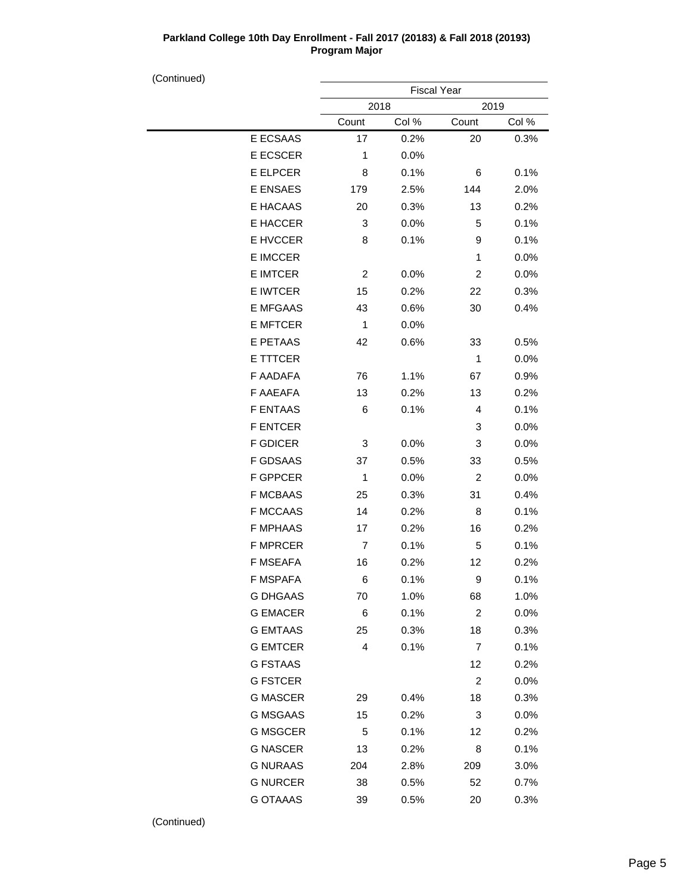(Continued)

| . |                 | <b>Fiscal Year</b> |       |                         |       |  |
|---|-----------------|--------------------|-------|-------------------------|-------|--|
|   |                 | 2018               |       | 2019                    |       |  |
|   |                 | Count              | Col % | Count                   | Col % |  |
|   | E ECSAAS        | 17                 | 0.2%  | 20                      | 0.3%  |  |
|   | E ECSCER        | 1                  | 0.0%  |                         |       |  |
|   | E ELPCER        | 8                  | 0.1%  | 6                       | 0.1%  |  |
|   | E ENSAES        | 179                | 2.5%  | 144                     | 2.0%  |  |
|   | E HACAAS        | 20                 | 0.3%  | 13                      | 0.2%  |  |
|   | E HACCER        | 3                  | 0.0%  | 5                       | 0.1%  |  |
|   | E HVCCER        | 8                  | 0.1%  | 9                       | 0.1%  |  |
|   | E IMCCER        |                    |       | 1                       | 0.0%  |  |
|   | <b>E IMTCER</b> | 2                  | 0.0%  | $\overline{\mathbf{c}}$ | 0.0%  |  |
|   | E IWTCER        | 15                 | 0.2%  | 22                      | 0.3%  |  |
|   | <b>E MFGAAS</b> | 43                 | 0.6%  | 30                      | 0.4%  |  |
|   | <b>E MFTCER</b> | 1                  | 0.0%  |                         |       |  |
|   | E PETAAS        | 42                 | 0.6%  | 33                      | 0.5%  |  |
|   | E TTTCER        |                    |       | 1                       | 0.0%  |  |
|   | F AADAFA        | 76                 | 1.1%  | 67                      | 0.9%  |  |
|   | F AAEAFA        | 13                 | 0.2%  | 13                      | 0.2%  |  |
|   | <b>F ENTAAS</b> | 6                  | 0.1%  | 4                       | 0.1%  |  |
|   | <b>F ENTCER</b> |                    |       | 3                       | 0.0%  |  |
|   | <b>F GDICER</b> | 3                  | 0.0%  | 3                       | 0.0%  |  |
|   | <b>F GDSAAS</b> | 37                 | 0.5%  | 33                      | 0.5%  |  |
|   | <b>F GPPCER</b> | 1                  | 0.0%  | 2                       | 0.0%  |  |
|   | <b>F MCBAAS</b> | 25                 | 0.3%  | 31                      | 0.4%  |  |
|   | <b>F MCCAAS</b> | 14                 | 0.2%  | 8                       | 0.1%  |  |
|   | <b>F MPHAAS</b> | 17                 | 0.2%  | 16                      | 0.2%  |  |
|   | <b>F MPRCER</b> | 7                  | 0.1%  | 5                       | 0.1%  |  |
|   | F MSEAFA        | 16                 | 0.2%  | 12                      | 0.2%  |  |
|   | F MSPAFA        | 6                  | 0.1%  | 9                       | 0.1%  |  |
|   | <b>G DHGAAS</b> | 70                 | 1.0%  | 68                      | 1.0%  |  |
|   | <b>G EMACER</b> | 6                  | 0.1%  | 2                       | 0.0%  |  |
|   | <b>G EMTAAS</b> | 25                 | 0.3%  | 18                      | 0.3%  |  |
|   | <b>G EMTCER</b> | 4                  | 0.1%  | 7                       | 0.1%  |  |
|   | <b>G FSTAAS</b> |                    |       | 12                      | 0.2%  |  |
|   | <b>G FSTCER</b> |                    |       | 2                       | 0.0%  |  |
|   | <b>G MASCER</b> | 29                 | 0.4%  | 18                      | 0.3%  |  |
|   | <b>G MSGAAS</b> | 15                 | 0.2%  | 3                       | 0.0%  |  |
|   | <b>G MSGCER</b> | 5                  | 0.1%  | 12                      | 0.2%  |  |
|   | <b>G NASCER</b> | 13                 | 0.2%  | 8                       | 0.1%  |  |
|   | <b>G NURAAS</b> | 204                | 2.8%  | 209                     | 3.0%  |  |
|   | <b>G NURCER</b> | 38                 | 0.5%  | 52                      | 0.7%  |  |
|   | <b>G OTAAAS</b> | 39                 | 0.5%  | 20                      | 0.3%  |  |
|   |                 |                    |       |                         |       |  |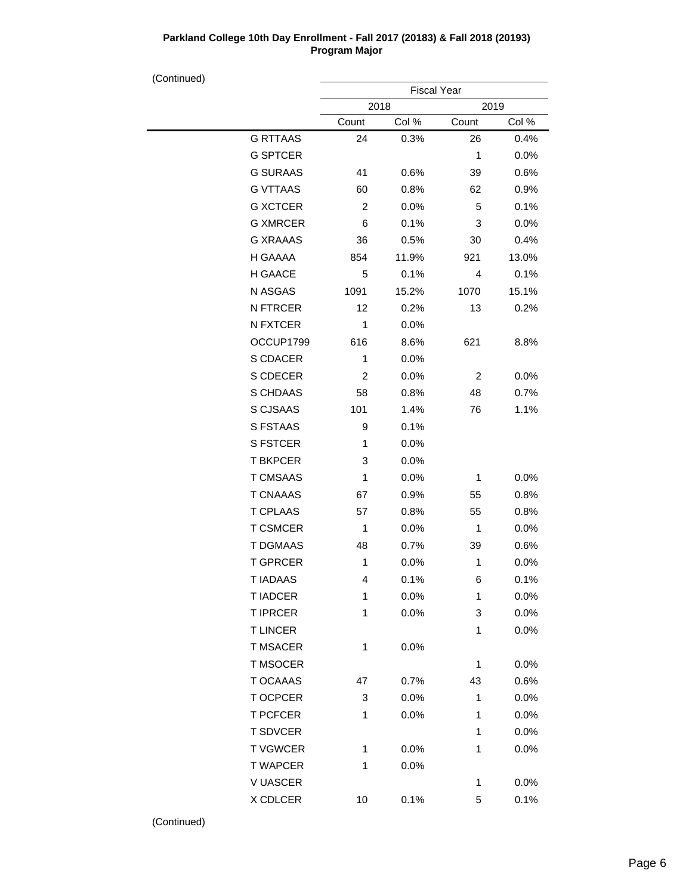| (Continued) |                 |                | <b>Fiscal Year</b> |                |       |
|-------------|-----------------|----------------|--------------------|----------------|-------|
|             |                 | 2018           |                    | 2019           |       |
|             |                 | Count          | Col %              | Count          | Col % |
|             | <b>G RTTAAS</b> | 24             | 0.3%               | 26             | 0.4%  |
|             | <b>G SPTCER</b> |                |                    | 1              | 0.0%  |
|             | <b>G SURAAS</b> | 41             | 0.6%               | 39             | 0.6%  |
|             | <b>G VTTAAS</b> | 60             | 0.8%               | 62             | 0.9%  |
|             | <b>G XCTCER</b> | $\overline{c}$ | 0.0%               | 5              | 0.1%  |
|             | <b>G XMRCER</b> | 6              | 0.1%               | 3              | 0.0%  |
|             | <b>G XRAAAS</b> | 36             | 0.5%               | 30             | 0.4%  |
|             | H GAAAA         | 854            | 11.9%              | 921            | 13.0% |
|             | H GAACE         | 5              | 0.1%               | 4              | 0.1%  |
|             | N ASGAS         | 1091           | 15.2%              | 1070           | 15.1% |
|             | <b>N FTRCER</b> | 12             | 0.2%               | 13             | 0.2%  |
|             | N FXTCER        | 1              | 0.0%               |                |       |
|             | OCCUP1799       | 616            | 8.6%               | 621            | 8.8%  |
|             | S CDACER        | $\mathbf{1}$   | 0.0%               |                |       |
|             | S CDECER        | $\overline{c}$ | 0.0%               | $\overline{c}$ | 0.0%  |
|             | S CHDAAS        | 58             | 0.8%               | 48             | 0.7%  |
|             | S CJSAAS        | 101            | 1.4%               | 76             | 1.1%  |
|             | S FSTAAS        | 9              | 0.1%               |                |       |
|             | <b>S FSTCER</b> | 1              | 0.0%               |                |       |
|             | <b>T BKPCER</b> | 3              | 0.0%               |                |       |
|             | <b>T CMSAAS</b> | 1              | 0.0%               | 1              | 0.0%  |
|             | <b>T CNAAAS</b> | 67             | 0.9%               | 55             | 0.8%  |
|             | <b>T CPLAAS</b> | 57             | 0.8%               | 55             | 0.8%  |
|             | <b>T CSMCER</b> | 1              | 0.0%               | 1              | 0.0%  |
|             | <b>T DGMAAS</b> | 48             | 0.7%               | 39             | 0.6%  |
|             | <b>T GPRCER</b> | $\mathbf{1}$   | 0.0%               | 1              | 0.0%  |
|             | <b>T IADAAS</b> | 4              | 0.1%               | 6              | 0.1%  |
|             | <b>TIADCER</b>  | 1              | 0.0%               | 1              | 0.0%  |
|             | <b>T IPRCER</b> | 1              | 0.0%               | 3              | 0.0%  |
|             | <b>T LINCER</b> |                |                    | 1              | 0.0%  |
|             | <b>T MSACER</b> | 1              | 0.0%               |                |       |
|             | T MSOCER        |                |                    | 1              | 0.0%  |
|             | T OCAAAS        | 47             | 0.7%               | 43             | 0.6%  |
|             | T OCPCER        | 3              | 0.0%               | 1              | 0.0%  |
|             | <b>T PCFCER</b> | 1              | 0.0%               | 1              | 0.0%  |
|             | <b>T SDVCER</b> |                |                    | 1              | 0.0%  |
|             | <b>TVGWCER</b>  | 1              | 0.0%               | 1              | 0.0%  |
|             | <b>T WAPCER</b> | 1              | 0.0%               |                |       |
|             | V UASCER        |                |                    | 1              | 0.0%  |

X CDLCER 10 0.1% 5 0.1%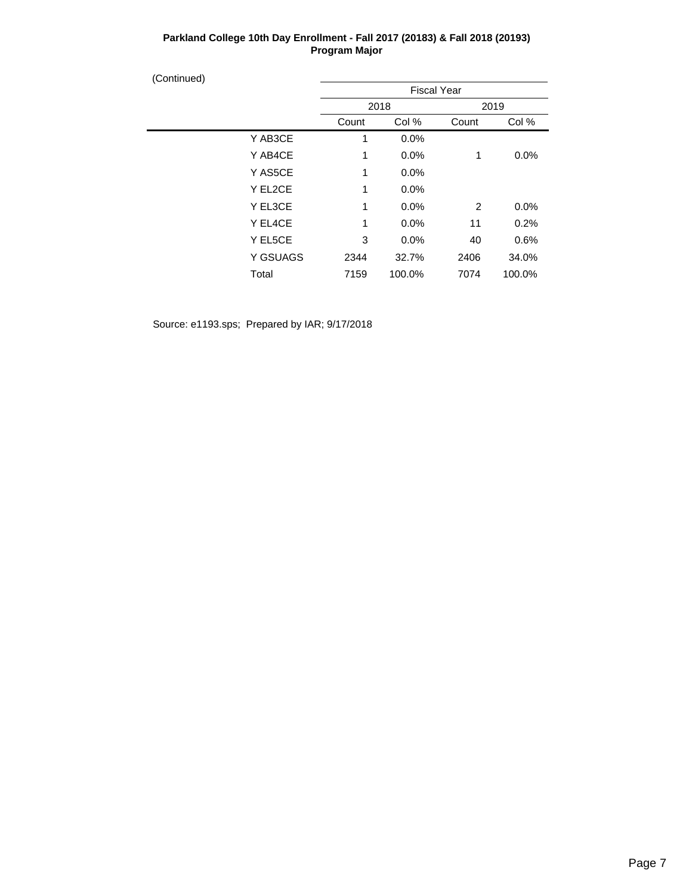| (Continued) |          |       |                    |       |        |
|-------------|----------|-------|--------------------|-------|--------|
|             |          |       | <b>Fiscal Year</b> |       |        |
|             |          |       | 2018               |       | 2019   |
|             |          | Count | Col %              | Count | Col %  |
|             | Y AB3CE  | 1     | 0.0%               |       |        |
|             | Y AB4CE  | 1     | 0.0%               | 1     | 0.0%   |
|             | Y AS5CE  | 1     | 0.0%               |       |        |
|             | Y EL2CE  | 1     | 0.0%               |       |        |
|             | Y EL3CE  | 1     | 0.0%               | 2     | 0.0%   |
|             | Y EL4CE  | 1     | 0.0%               | 11    | 0.2%   |
|             | Y EL5CE  | 3     | 0.0%               | 40    | 0.6%   |
|             | Y GSUAGS | 2344  | 32.7%              | 2406  | 34.0%  |
|             | Total    | 7159  | 100.0%             | 7074  | 100.0% |
|             |          |       |                    |       |        |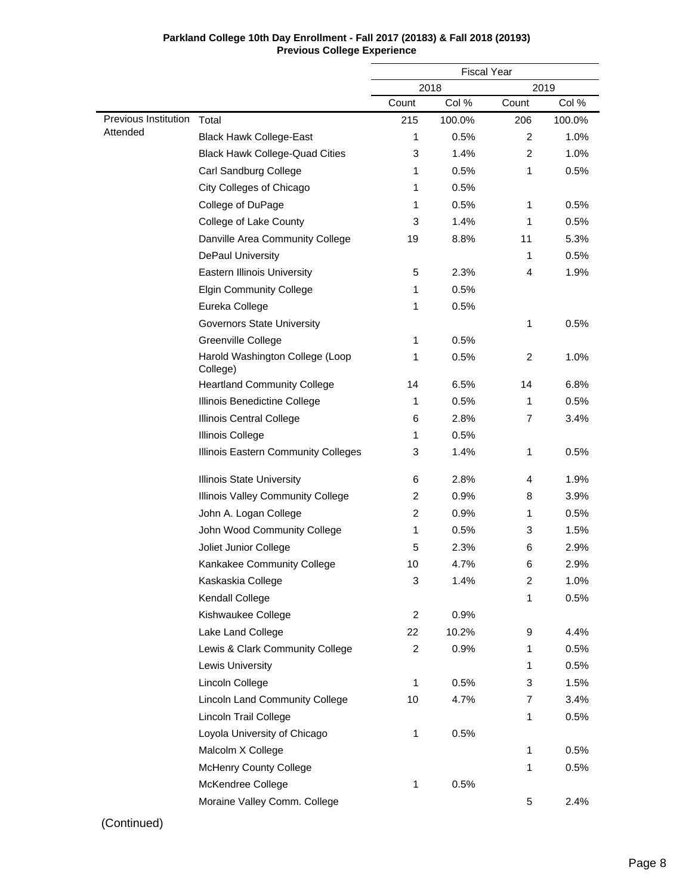|                      |                                             | <b>Fiscal Year</b> |        |       |        |
|----------------------|---------------------------------------------|--------------------|--------|-------|--------|
|                      |                                             |                    | 2018   |       | 2019   |
|                      |                                             | Count              | Col %  | Count | Col %  |
| Previous Institution | Total                                       | 215                | 100.0% | 206   | 100.0% |
| Attended             | <b>Black Hawk College-East</b>              | 1                  | 0.5%   | 2     | 1.0%   |
|                      | <b>Black Hawk College-Quad Cities</b>       | 3                  | 1.4%   | 2     | 1.0%   |
|                      | Carl Sandburg College                       | 1                  | 0.5%   | 1     | 0.5%   |
|                      | City Colleges of Chicago                    | 1                  | 0.5%   |       |        |
|                      | College of DuPage                           | 1                  | 0.5%   | 1     | 0.5%   |
|                      | College of Lake County                      | 3                  | 1.4%   | 1     | 0.5%   |
|                      | Danville Area Community College             | 19                 | 8.8%   | 11    | 5.3%   |
|                      | <b>DePaul University</b>                    |                    |        | 1     | 0.5%   |
|                      | Eastern Illinois University                 | 5                  | 2.3%   | 4     | 1.9%   |
|                      | <b>Elgin Community College</b>              | 1                  | 0.5%   |       |        |
|                      | Eureka College                              | 1                  | 0.5%   |       |        |
|                      | <b>Governors State University</b>           |                    |        | 1     | 0.5%   |
|                      | Greenville College                          | 1                  | 0.5%   |       |        |
|                      | Harold Washington College (Loop<br>College) | 1                  | 0.5%   | 2     | 1.0%   |
|                      | <b>Heartland Community College</b>          | 14                 | 6.5%   | 14    | 6.8%   |
|                      | Illinois Benedictine College                | 1                  | 0.5%   | 1     | 0.5%   |
|                      | Illinois Central College                    | 6                  | 2.8%   | 7     | 3.4%   |
|                      | <b>Illinois College</b>                     | 1                  | 0.5%   |       |        |
|                      | Illinois Eastern Community Colleges         | 3                  | 1.4%   | 1     | 0.5%   |
|                      | <b>Illinois State University</b>            | 6                  | 2.8%   | 4     | 1.9%   |
|                      | Illinois Valley Community College           | 2                  | 0.9%   | 8     | 3.9%   |
|                      | John A. Logan College                       | 2                  | 0.9%   | 1     | 0.5%   |
|                      | John Wood Community College                 | 1                  | 0.5%   | 3     | 1.5%   |
|                      | Joliet Junior College                       | 5                  | 2.3%   | 6     | 2.9%   |
|                      | Kankakee Community College                  | 10                 | 4.7%   | 6     | 2.9%   |
|                      | Kaskaskia College                           | 3                  | 1.4%   | 2     | 1.0%   |
|                      | Kendall College                             |                    |        | 1     | 0.5%   |
|                      | Kishwaukee College                          | 2                  | 0.9%   |       |        |
|                      | Lake Land College                           | 22                 | 10.2%  | 9     | 4.4%   |
|                      | Lewis & Clark Community College             | $\overline{c}$     | 0.9%   | 1     | 0.5%   |
|                      | Lewis University                            |                    |        | 1     | 0.5%   |
|                      | Lincoln College                             | 1                  | 0.5%   | 3     | 1.5%   |
|                      | <b>Lincoln Land Community College</b>       | 10                 | 4.7%   | 7     | 3.4%   |
|                      | Lincoln Trail College                       |                    |        | 1     | 0.5%   |
|                      | Loyola University of Chicago                | 1                  | 0.5%   |       |        |
|                      | Malcolm X College                           |                    |        | 1     | 0.5%   |
|                      | <b>McHenry County College</b>               |                    |        | 1     | 0.5%   |
|                      | McKendree College                           | 1                  | 0.5%   |       |        |
|                      | Moraine Valley Comm. College                |                    |        | 5     | 2.4%   |

#### **Parkland College 10th Day Enrollment - Fall 2017 (20183) & Fall 2018 (20193) Previous College Experience**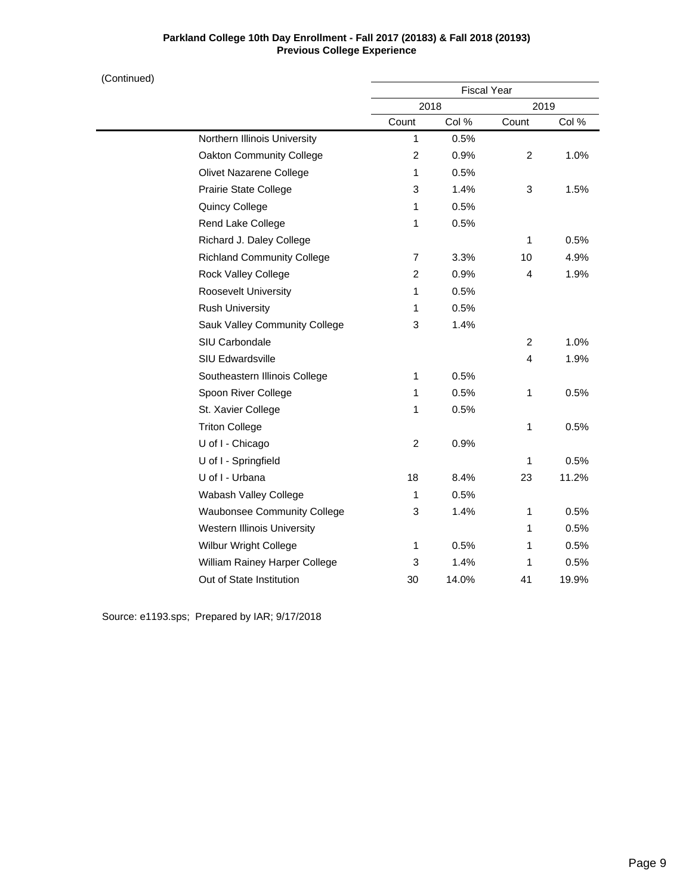## **Parkland College 10th Day Enrollment - Fall 2017 (20183) & Fall 2018 (20193) Previous College Experience**

| (Continued) |                                    |                | <b>Fiscal Year</b> |                |       |
|-------------|------------------------------------|----------------|--------------------|----------------|-------|
|             |                                    |                | 2018               |                | 2019  |
|             |                                    | Count          | Col %              | Count          | Col % |
|             | Northern Illinois University       | $\mathbf{1}$   | 0.5%               |                |       |
|             | Oakton Community College           | 2              | 0.9%               | 2              | 1.0%  |
|             | Olivet Nazarene College            | $\mathbf{1}$   | 0.5%               |                |       |
|             | Prairie State College              | 3              | 1.4%               | 3              | 1.5%  |
|             | Quincy College                     | 1              | 0.5%               |                |       |
|             | Rend Lake College                  | $\mathbf{1}$   | 0.5%               |                |       |
|             | Richard J. Daley College           |                |                    | 1              | 0.5%  |
|             | <b>Richland Community College</b>  | $\overline{7}$ | 3.3%               | 10             | 4.9%  |
|             | Rock Valley College                | 2              | 0.9%               | 4              | 1.9%  |
|             | Roosevelt University               | 1              | 0.5%               |                |       |
|             | <b>Rush University</b>             | 1              | 0.5%               |                |       |
|             | Sauk Valley Community College      | 3              | 1.4%               |                |       |
|             | SIU Carbondale                     |                |                    | 2              | 1.0%  |
|             | <b>SIU Edwardsville</b>            |                |                    | $\overline{4}$ | 1.9%  |
|             | Southeastern Illinois College      | 1              | 0.5%               |                |       |
|             | Spoon River College                | 1              | 0.5%               | 1              | 0.5%  |
|             | St. Xavier College                 | 1              | 0.5%               |                |       |
|             | <b>Triton College</b>              |                |                    | 1              | 0.5%  |
|             | U of I - Chicago                   | 2              | 0.9%               |                |       |
|             | U of I - Springfield               |                |                    | 1              | 0.5%  |
|             | U of I - Urbana                    | 18             | 8.4%               | 23             | 11.2% |
|             | Wabash Valley College              | 1              | 0.5%               |                |       |
|             | <b>Waubonsee Community College</b> | 3              | 1.4%               | 1              | 0.5%  |
|             | <b>Western Illinois University</b> |                |                    | 1              | 0.5%  |
|             | Wilbur Wright College              | 1              | 0.5%               | 1              | 0.5%  |
|             | William Rainey Harper College      | 3              | 1.4%               | 1              | 0.5%  |
|             | Out of State Institution           | 30             | 14.0%              | 41             | 19.9% |